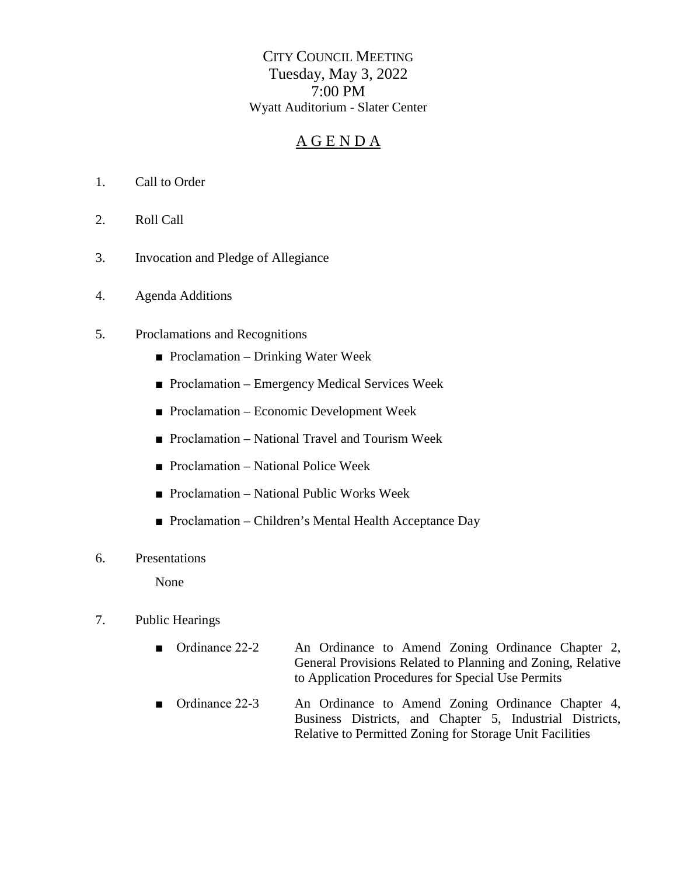CITY COUNCIL MEETING Tuesday, May 3, 2022 7:00 PM Wyatt Auditorium - Slater Center

# A G E N D A

- 1. Call to Order
- 2. Roll Call
- 3. Invocation and Pledge of Allegiance
- 4. Agenda Additions
- 5. Proclamations and Recognitions
	- Proclamation Drinking Water Week
	- Proclamation Emergency Medical Services Week
	- Proclamation Economic Development Week
	- Proclamation National Travel and Tourism Week
	- Proclamation National Police Week
	- Proclamation National Public Works Week
	- Proclamation Children's Mental Health Acceptance Day
- 6. Presentations

None

### 7. Public Hearings

- Ordinance 22-2 An Ordinance to Amend Zoning Ordinance Chapter 2, General Provisions Related to Planning and Zoning, Relative to Application Procedures for Special Use Permits
- Ordinance 22-3 An Ordinance to Amend Zoning Ordinance Chapter 4, Business Districts, and Chapter 5, Industrial Districts, Relative to Permitted Zoning for Storage Unit Facilities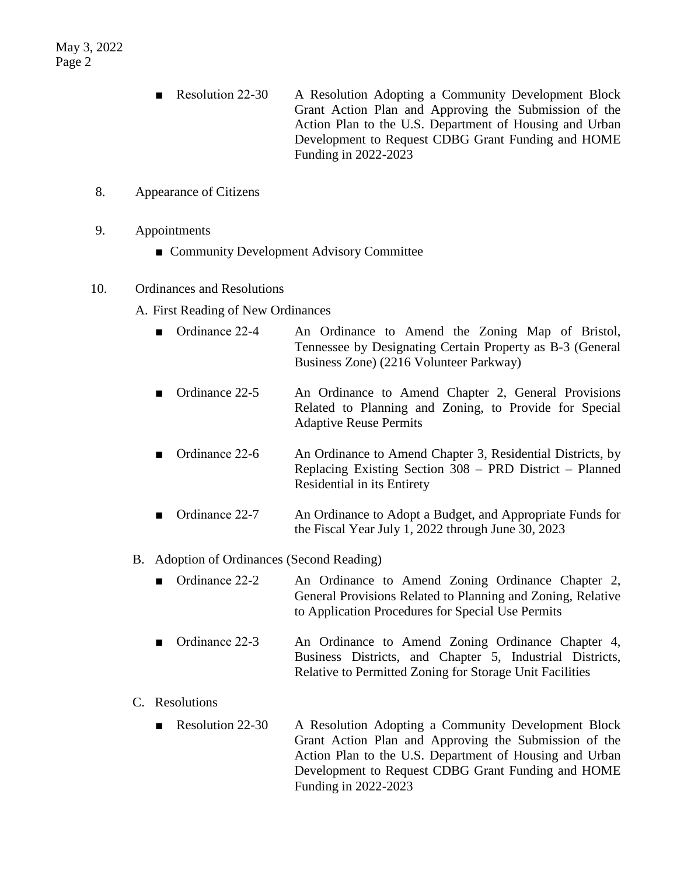- Resolution 22-30 A Resolution Adopting a Community Development Block Grant Action Plan and Approving the Submission of the Action Plan to the U.S. Department of Housing and Urban Development to Request CDBG Grant Funding and HOME Funding in 2022-2023
- 8. Appearance of Citizens
- 9. Appointments
	- Community Development Advisory Committee

### 10. Ordinances and Resolutions

- A. First Reading of New Ordinances
	- Ordinance 22-4 An Ordinance to Amend the Zoning Map of Bristol, Tennessee by Designating Certain Property as B-3 (General Business Zone) (2216 Volunteer Parkway)
	- Ordinance 22-5 An Ordinance to Amend Chapter 2, General Provisions Related to Planning and Zoning, to Provide for Special Adaptive Reuse Permits
	- Ordinance 22-6 An Ordinance to Amend Chapter 3, Residential Districts, by Replacing Existing Section 308 – PRD District – Planned Residential in its Entirety
	- Ordinance 22-7 An Ordinance to Adopt a Budget, and Appropriate Funds for the Fiscal Year July 1, 2022 through June 30, 2023

#### B. Adoption of Ordinances (Second Reading)

- Ordinance 22-2 An Ordinance to Amend Zoning Ordinance Chapter 2, General Provisions Related to Planning and Zoning, Relative to Application Procedures for Special Use Permits
- Ordinance 22-3 An Ordinance to Amend Zoning Ordinance Chapter 4, Business Districts, and Chapter 5, Industrial Districts, Relative to Permitted Zoning for Storage Unit Facilities

## C. Resolutions

■ Resolution 22-30 A Resolution Adopting a Community Development Block Grant Action Plan and Approving the Submission of the Action Plan to the U.S. Department of Housing and Urban Development to Request CDBG Grant Funding and HOME Funding in 2022-2023